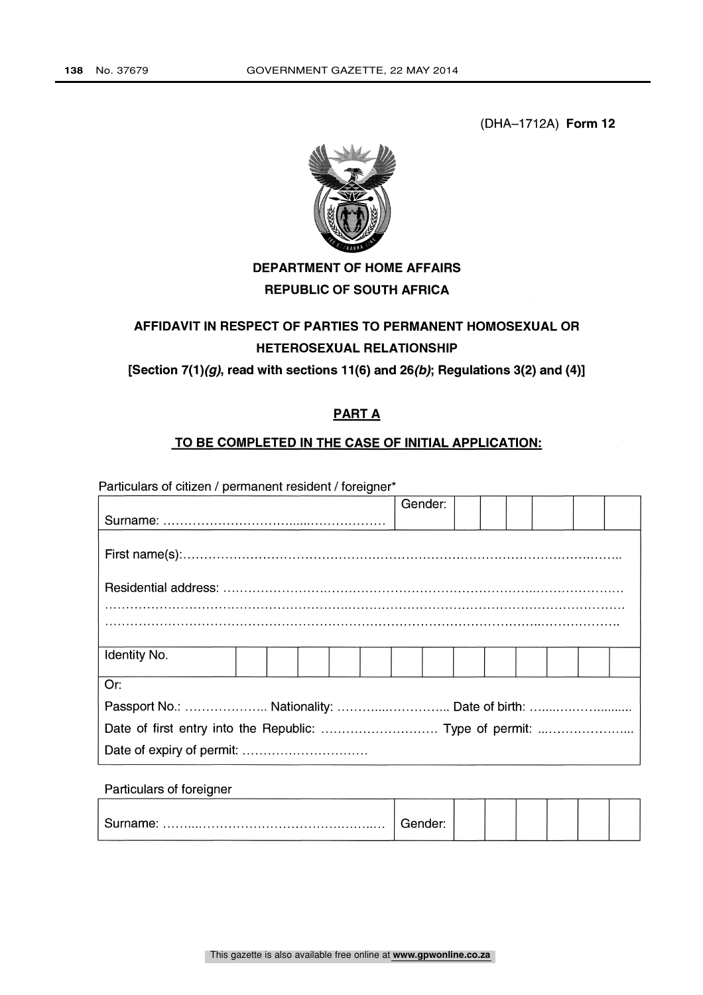(DHA-1712A) Form 12



## DEPARTMENT OF HOME AFFAIRS REPUBLIC OF SOUTH AFRICA

# AFFIDAVIT IN RESPECT OF PARTIES TO PERMANENT HOMOSEXUAL OR HETEROSEXUAL RELATIONSHIP

[Section  $7(1)(g)$ , read with sections 11(6) and 26(b); Regulations 3(2) and (4)]

## PART A

#### TO BE COMPLETED IN THE CASE OF INITIAL APPLICATION:

| Particulars of citizen / permanent resident / foreigner* |  |  |         |  |  |  |  |
|----------------------------------------------------------|--|--|---------|--|--|--|--|
|                                                          |  |  | Gender: |  |  |  |  |
|                                                          |  |  |         |  |  |  |  |
|                                                          |  |  |         |  |  |  |  |
|                                                          |  |  |         |  |  |  |  |
|                                                          |  |  |         |  |  |  |  |
|                                                          |  |  |         |  |  |  |  |
| Identity No.                                             |  |  |         |  |  |  |  |
| Or:                                                      |  |  |         |  |  |  |  |
| Passport No.:  Nationality:  Date of birth:              |  |  |         |  |  |  |  |
|                                                          |  |  |         |  |  |  |  |
| Date of expiry of permit:                                |  |  |         |  |  |  |  |
| Particulars of foreigner                                 |  |  |         |  |  |  |  |

# Surname: Gender: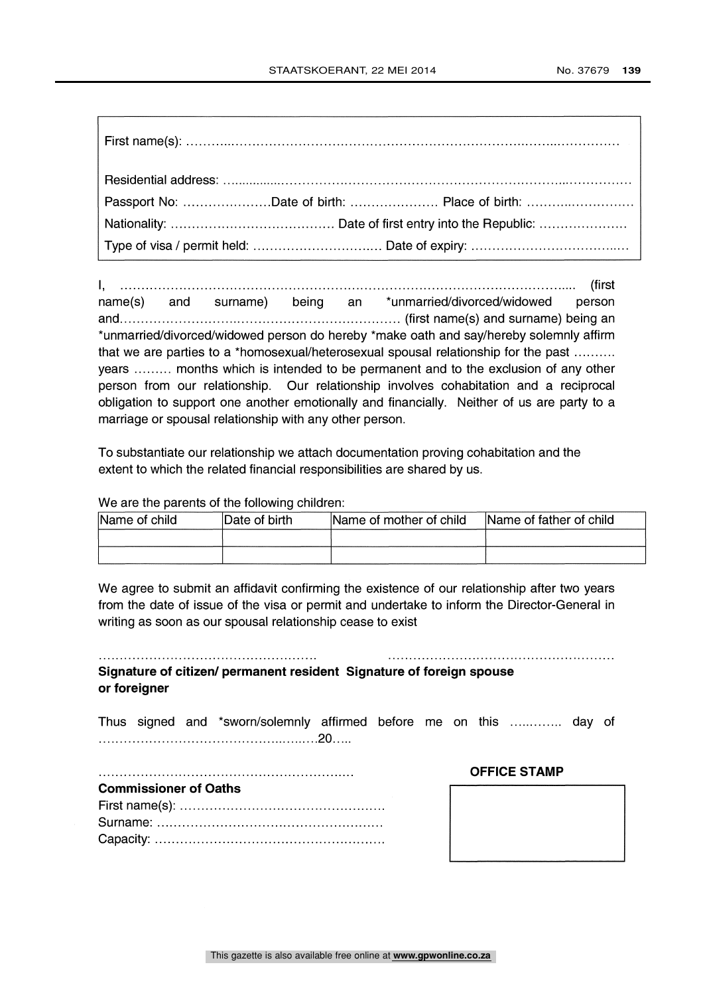(first 1. name(s) and surname) being an \*unmarried/divorced/widowed person and (first name(s) and surname) being an \*unmarried/divorced/widowed person do hereby \*make oath and say/hereby solemnly affirm that we are parties to a \*homosexual/heterosexual spousal relationship for the past years ......... months which is intended to be permanent and to the exclusion of any other person from our relationship. Our relationship involves cohabitation and a reciprocal obligation to support one another emotionally and financially. Neither of us are party to a marriage or spousal relationship with any other person.

To substantiate our relationship we attach documentation proving cohabitation and the extent to which the related financial responsibilities are shared by us.

| Name of child | Date of birth | Name of mother of child | Name of father of child |
|---------------|---------------|-------------------------|-------------------------|
|               |               |                         |                         |
|               |               |                         |                         |

We are the parents of the following children:

We agree to submit an affidavit confirming the existence of our relationship after two years from the date of issue of the visa or permit and undertake to inform the Director-General in writing as soon as our spousal relationship cease to exist

#### Signature of citizen/ permanent resident Signature of foreign spouse or foreigner

Thus signed and \*sworn/solemnly affirmed before me on this ............. day of 20.

| <b>Commissioner of Oaths</b> |
|------------------------------|
|                              |
|                              |
|                              |

OFFICE STAMP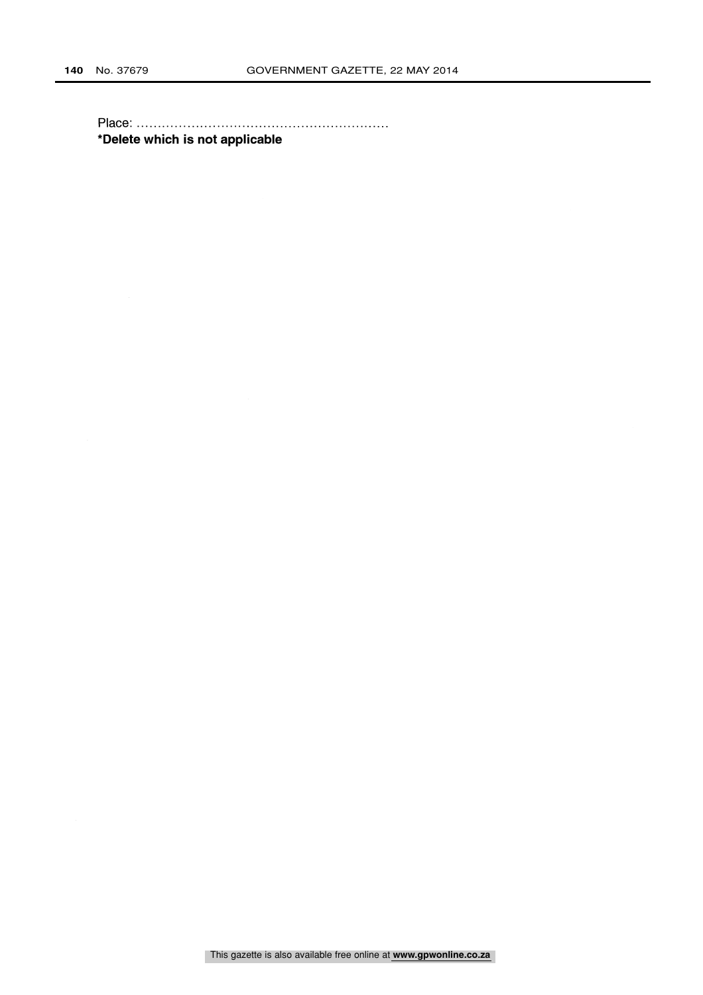Place: \*Delete which is not applicable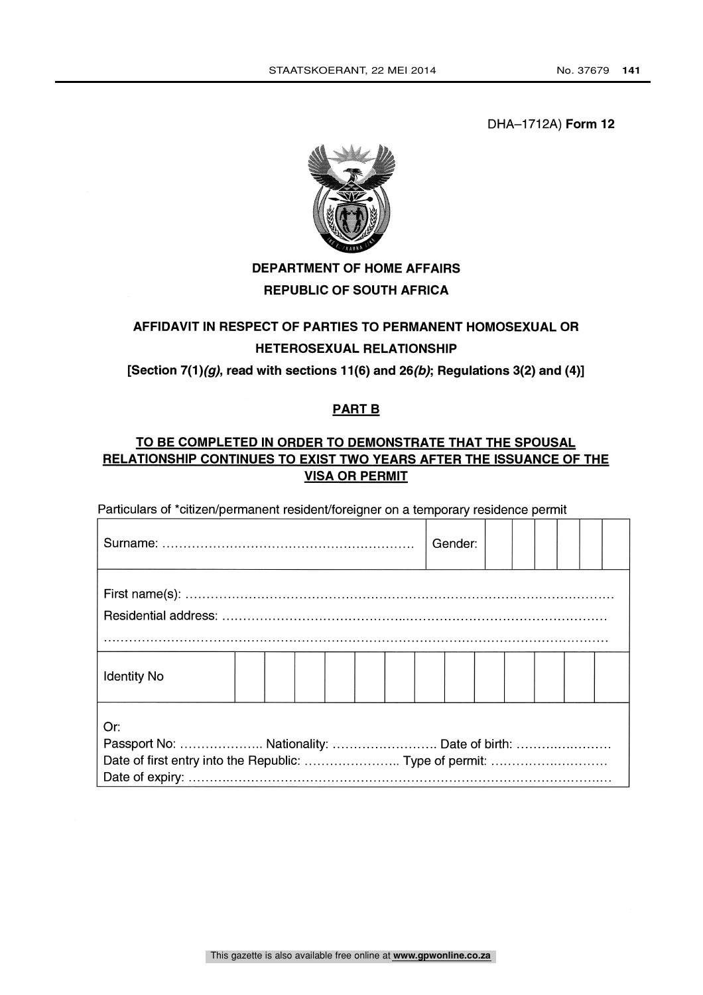DHA-1712A) Form 12



## DEPARTMENT OF HOME AFFAIRS REPUBLIC OF SOUTH AFRICA

# AFFIDAVIT IN RESPECT OF PARTIES TO PERMANENT HOMOSEXUAL OR HETEROSEXUAL RELATIONSHIP

[Section  $7(1)(g)$ , read with sections 11(6) and 26(b); Regulations 3(2) and (4)]

### PART B

## TO BE COMPLETED IN ORDER TO DEMONSTRATE THAT THE SPOUSAL RELATIONSHIP CONTINUES TO EXIST TWO YEARS AFTER THE ISSUANCE OF THE VISA OR PERMIT

Particulars of \*citizen/permanent resident/foreigner on a temporary residence permit

|                                                   |  |  |  | Gender: |  |  |  |
|---------------------------------------------------|--|--|--|---------|--|--|--|
|                                                   |  |  |  |         |  |  |  |
| <b>Identity No</b>                                |  |  |  |         |  |  |  |
| Or:<br>Passport No:  Nationality:  Date of birth: |  |  |  |         |  |  |  |